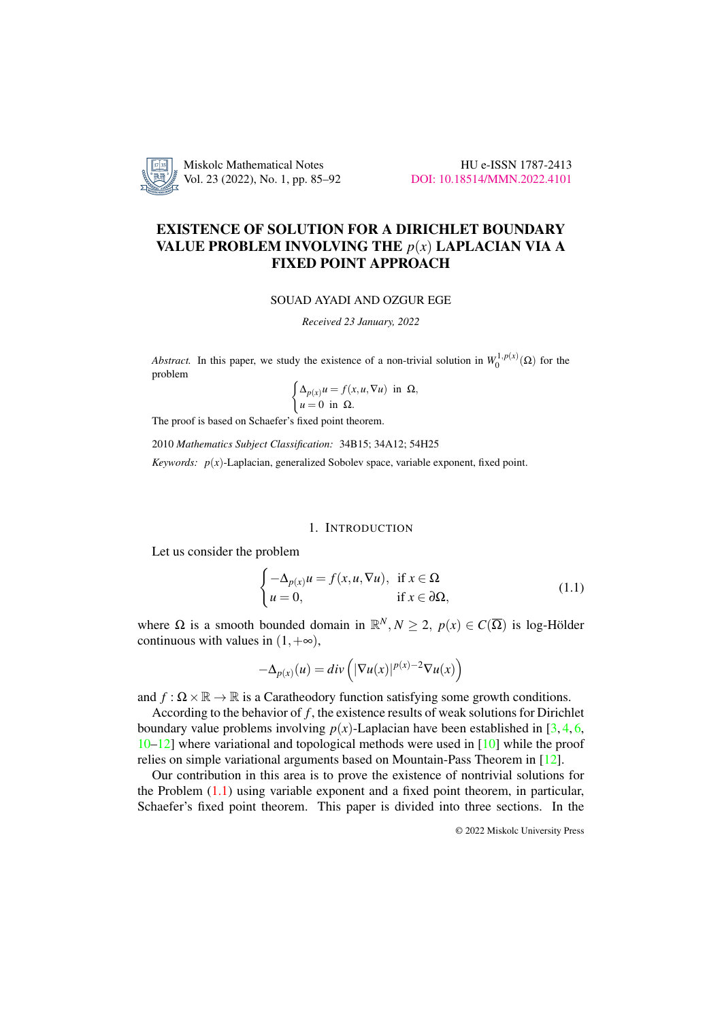

# EXISTENCE OF SOLUTION FOR A DIRICHLET BOUNDARY VALUE PROBLEM INVOLVING THE *p*(*x*) LAPLACIAN VIA A FIXED POINT APPROACH

## SOUAD AYADI AND OZGUR EGE

*Received 23 January, 2022*

*Abstract.* In this paper, we study the existence of a non-trivial solution in  $W_0^{1,p(x)}(\Omega)$  for the problem

$$
\begin{cases} \Delta_{p(x)} u = f(x, u, \nabla u) \text{ in } \Omega, \\ u = 0 \text{ in } \Omega. \end{cases}
$$

The proof is based on Schaefer's fixed point theorem.

2010 *Mathematics Subject Classification:* 34B15; 34A12; 54H25

*Keywords:*  $p(x)$ -Laplacian, generalized Sobolev space, variable exponent, fixed point.

## 1. INTRODUCTION

Let us consider the problem

<span id="page-0-0"></span>
$$
\begin{cases}\n-\Delta_{p(x)}u = f(x, u, \nabla u), & \text{if } x \in \Omega \\
u = 0, & \text{if } x \in \partial\Omega,\n\end{cases}
$$
\n(1.1)

where  $\Omega$  is a smooth bounded domain in  $\mathbb{R}^N, N \geq 2, p(x) \in C(\overline{\Omega})$  is log-Hölder continuous with values in  $(1, +\infty)$ ,

$$
-\Delta_{p(x)}(u) = div \left( |\nabla u(x)|^{p(x)-2} \nabla u(x) \right)
$$

and  $f: \Omega \times \mathbb{R} \to \mathbb{R}$  is a Caratheodory function satisfying some growth conditions.

According to the behavior of *f* , the existence results of weak solutions for Dirichlet boundary value problems involving  $p(x)$ -Laplacian have been established in [\[3,](#page-6-0) [4,](#page-6-1) [6,](#page-6-2) [10](#page-7-0)[–12\]](#page-7-1) where variational and topological methods were used in [\[10\]](#page-7-0) while the proof relies on simple variational arguments based on Mountain-Pass Theorem in [\[12\]](#page-7-1).

Our contribution in this area is to prove the existence of nontrivial solutions for the Problem [\(1.1\)](#page-0-0) using variable exponent and a fixed point theorem, in particular, Schaefer's fixed point theorem. This paper is divided into three sections. In the

© 2022 Miskolc University Press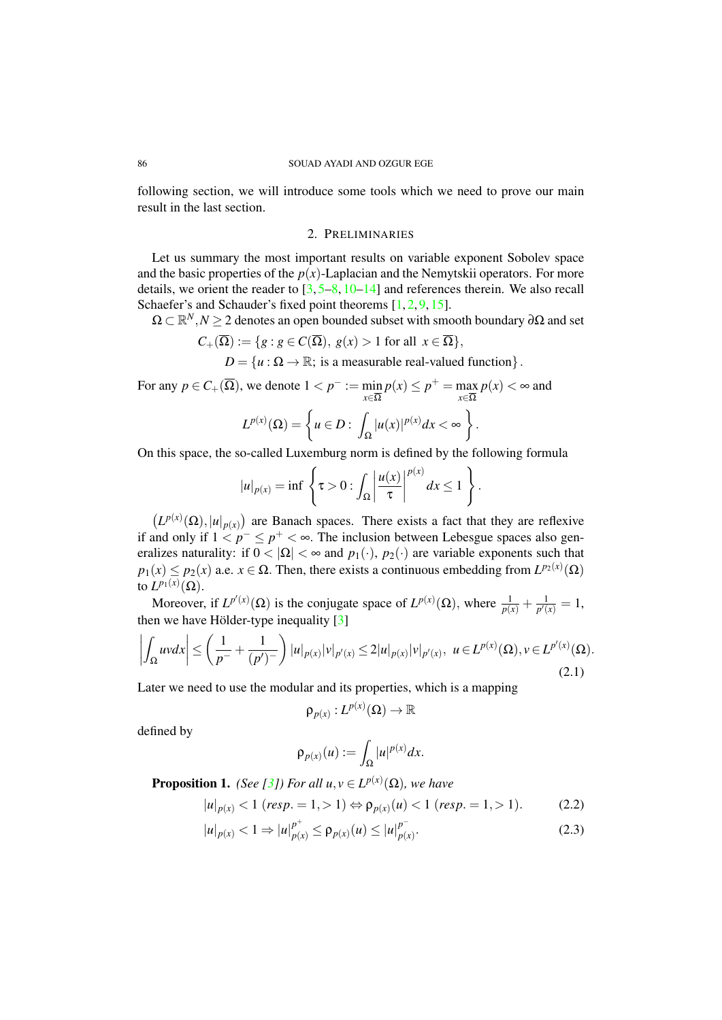#### 86 SOUAD AYADI AND OZGUR EGE

following section, we will introduce some tools which we need to prove our main result in the last section.

# 2. PRELIMINARIES

Let us summary the most important results on variable exponent Sobolev space and the basic properties of the  $p(x)$ -Laplacian and the Nemytskii operators. For more details, we orient the reader to  $\left[3, 5-8, 10-14\right]$  $\left[3, 5-8, 10-14\right]$  $\left[3, 5-8, 10-14\right]$  $\left[3, 5-8, 10-14\right]$  $\left[3, 5-8, 10-14\right]$  $\left[3, 5-8, 10-14\right]$  $\left[3, 5-8, 10-14\right]$  and references therein. We also recall Schaefer's and Schauder's fixed point theorems [\[1,](#page-6-4) [2,](#page-6-5) [9,](#page-7-4) [15\]](#page-7-5).

 $\Omega \subset \mathbb{R}^N, N \geq 2$  denotes an open bounded subset with smooth boundary  $\partial \Omega$  and set

$$
C_{+}(\overline{\Omega}):=\{g: g\in C(\overline{\Omega}), g(x)>1 \text{ for all } x\in\overline{\Omega}\},\
$$

 $D = \{u : \Omega \to \mathbb{R}; \text{ is a measurable real-valued function}\}.$ 

For any  $p \in C_+(\overline{\Omega})$ , we denote  $1 < p^- := \min$ *x*∈Ω  $p(x) \leq p^+$  = max *x*∈Ω  $p(x) < \infty$  and

$$
L^{p(x)}(\Omega) = \left\{ u \in D : \int_{\Omega} |u(x)|^{p(x)} dx < \infty \right\}.
$$

On this space, the so-called Luxemburg norm is defined by the following formula

$$
|u|_{p(x)} = \inf \left\{ \tau > 0 : \int_{\Omega} \left| \frac{u(x)}{\tau} \right|^{p(x)} dx \le 1 \right\}.
$$

 $(L^{p(x)}(\Omega), |u|_{p(x)})$  are Banach spaces. There exists a fact that they are reflexive if and only if  $1 < p^- \le p^+ < \infty$ . The inclusion between Lebesgue spaces also generalizes naturality: if  $0 < |\Omega| < \infty$  and  $p_1(\cdot), p_2(\cdot)$  are variable exponents such that  $p_1(x) \leq p_2(x)$  a.e.  $x \in \Omega$ . Then, there exists a continuous embedding from  $L^{p_2(x)}(\Omega)$ to  $L^{p_1(x)}(\Omega)$ .

Moreover, if  $L^{p'(x)}(\Omega)$  is the conjugate space of  $L^{p(x)}(\Omega)$ , where  $\frac{1}{p(x)} + \frac{1}{p'(x)}$  $\frac{1}{p'(x)} = 1,$ then we have Hölder-type inequality  $[3]$  $[3]$ 

$$
\left| \int_{\Omega} uv dx \right| \leq \left( \frac{1}{p^{-}} + \frac{1}{(p')^{-}} \right) |u|_{p(x)} |v|_{p'(x)} \leq 2|u|_{p(x)} |v|_{p'(x)}, \ u \in L^{p(x)}(\Omega), v \in L^{p'(x)}(\Omega).
$$
\n(2.1)

Later we need to use the modular and its properties, which is a mapping

$$
\mathsf{p}_{\rho(x)}: L^{p(x)}(\Omega) \to \mathbb{R}
$$

defined by

<span id="page-1-0"></span>
$$
\rho_{p(x)}(u) := \int_{\Omega} |u|^{p(x)} dx.
$$

<span id="page-1-1"></span>**Proposition 1.** *(See [\[3\]](#page-6-0)) For all*  $u, v \in L^{p(x)}(\Omega)$ *, we have* 

$$
|u|_{p(x)} < 1 \text{ (resp. } = 1, > 1) \Leftrightarrow \rho_{p(x)}(u) < 1 \text{ (resp. } = 1, > 1). \tag{2.2}
$$

$$
|u|_{p(x)} < 1 \Rightarrow |u|_{p(x)}^{p^+} \le \rho_{p(x)}(u) \le |u|_{p(x)}^{p^-}.
$$
\n(2.3)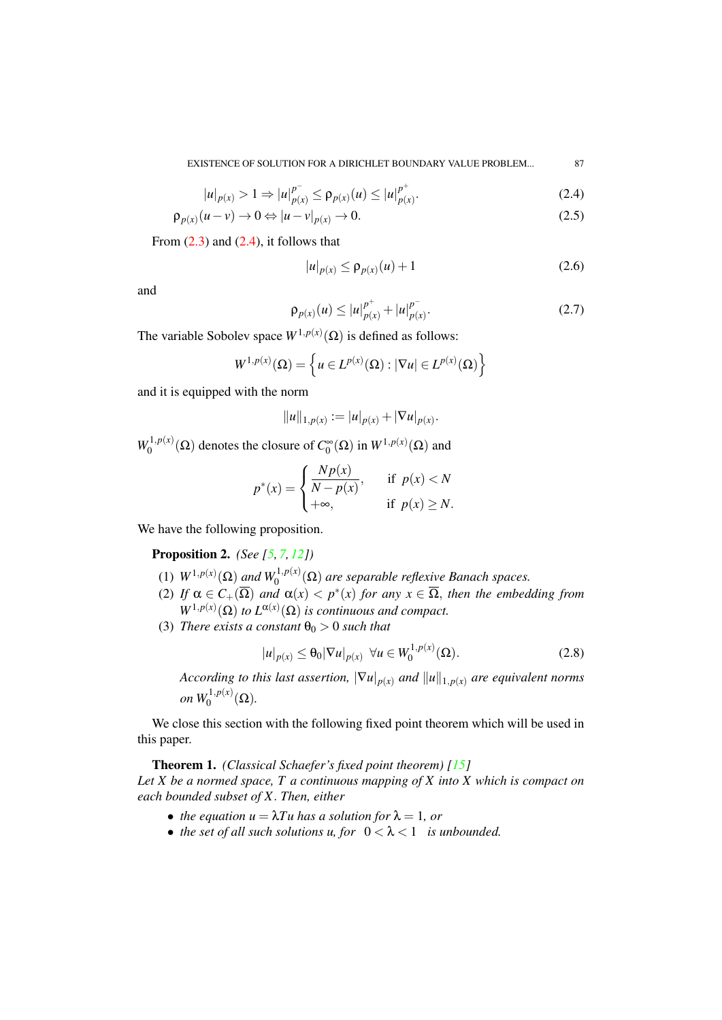EXISTENCE OF SOLUTION FOR A DIRICHLET BOUNDARY VALUE PROBLEM... 87

$$
|u|_{p(x)} > 1 \Rightarrow |u|_{p(x)}^{p^{-}} \le \rho_{p(x)}(u) \le |u|_{p(x)}^{p^{+}}.
$$
\n(2.4)

$$
\rho_{p(x)}(u-v) \to 0 \Leftrightarrow |u-v|_{p(x)} \to 0. \tag{2.5}
$$

From  $(2.3)$  and  $(2.4)$ , it follows that

<span id="page-2-0"></span>
$$
|u|_{p(x)} \le \rho_{p(x)}(u) + 1
$$
\n(2.6)

and

$$
\rho_{p(x)}(u) \le |u|_{p(x)}^{p^+} + |u|_{p(x)}^{p^-}.
$$
\n(2.7)

The variable Sobolev space  $W^{1,p(x)}(\Omega)$  is defined as follows:

$$
W^{1,p(x)}(\Omega) = \left\{ u \in L^{p(x)}(\Omega) : |\nabla u| \in L^{p(x)}(\Omega) \right\}
$$

and it is equipped with the norm

$$
||u||_{1,p(x)} := |u|_{p(x)} + |\nabla u|_{p(x)}.
$$

 $W_0^{1,p(x)}$  $\int_0^{1,p(x)} (\Omega)$  denotes the closure of  $C_0^{\infty} (\Omega)$  in  $W^{1,p(x)} (\Omega)$  and

$$
p^*(x) = \begin{cases} \frac{Np(x)}{N-p(x)}, & \text{if } p(x) < N \\ +\infty, & \text{if } p(x) \ge N. \end{cases}
$$

We have the following proposition.

<span id="page-2-2"></span>Proposition 2. *(See [\[5,](#page-6-3) [7,](#page-7-6) [12\]](#page-7-1))*

- (1)  $W^{1,p(x)}(\Omega)$  and  $W_0^{1,p(x)}(\Omega)$  are separable reflexive Banach spaces.
- (2) If  $\alpha \in C_+(\overline{\Omega})$  and  $\alpha(x) < p^*(x)$  for any  $x \in \overline{\Omega}$ , then the embedding from  $W^{1,p(x)}(\Omega)$  *to*  $L^{\alpha(x)}(\Omega)$  *is continuous and compact.*
- (3) *There exists a constant*  $\theta_0 > 0$  *such that*

$$
|u|_{p(x)} \le \theta_0 |\nabla u|_{p(x)} \ \forall u \in W_0^{1, p(x)}(\Omega). \tag{2.8}
$$

*According to this last assertion,*  $|\nabla u|_{p(x)}$  *and*  $||u||_{1,p(x)}$  *are equivalent norms on*  $W_0^{1,p(x)}(\Omega)$ *.* 

We close this section with the following fixed point theorem which will be used in this paper.

<span id="page-2-1"></span>Theorem 1. *(Classical Schaefer's fixed point theorem) [\[15\]](#page-7-5)*

*Let X be a normed space, T a continuous mapping of X into X which is compact on each bounded subset of X*. *Then, either*

- *the equation*  $u = \lambda T u$  *has a solution for*  $\lambda = 1$ *, or*
- *the set of all such solutions u, for*  $0 < \lambda < 1$  *is unbounded.*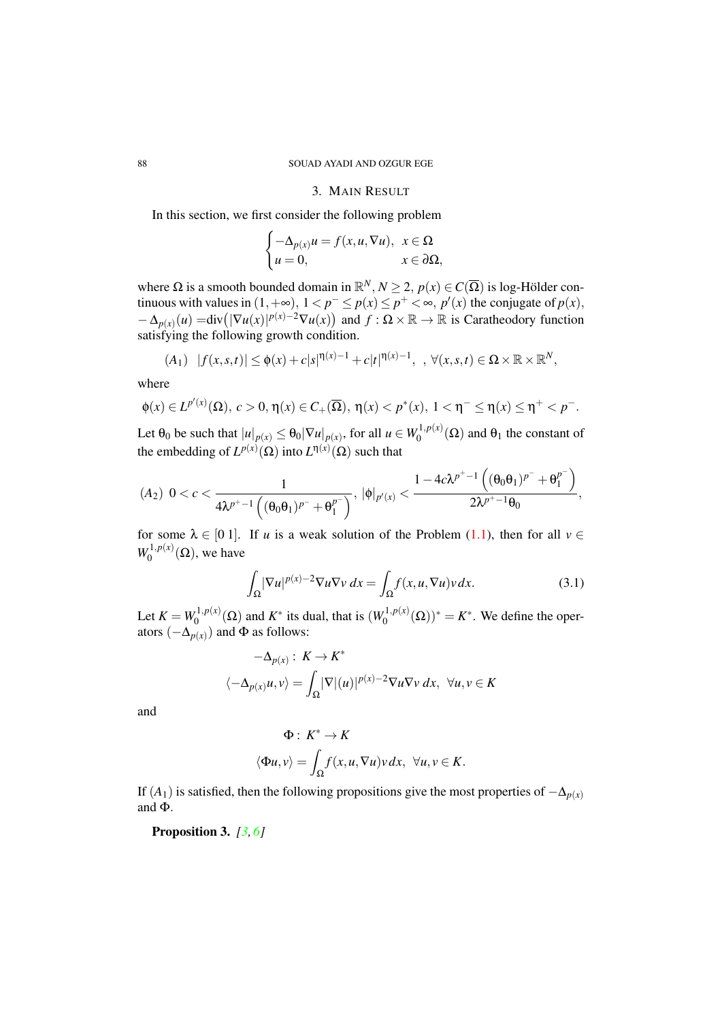# 3. MAIN RESULT

In this section, we first consider the following problem

$$
\begin{cases}\n-\Delta_{p(x)}u = f(x, u, \nabla u), & x \in \Omega \\
u = 0, & x \in \partial\Omega,\n\end{cases}
$$

where  $\Omega$  is a smooth bounded domain in  $\mathbb{R}^N, N \geq 2, p(x) \in C(\overline{\Omega})$  is log-Hölder continuous with values in  $(1, +\infty)$ ,  $1 < p^- \le p(x) \le p^+ < \infty$ ,  $p'(x)$  the conjugate of  $p(x)$ ,  $-\Delta_{p(x)}(u) = \text{div}(|\nabla u(x)|^{p(x)-2}\nabla u(x))$  and  $f: \Omega \times \mathbb{R} \to \mathbb{R}$  is Caratheodory function satisfying the following growth condition.

$$
(A_1) \quad |f(x,s,t)| \leq \phi(x) + c|s|^{\eta(x)-1} + c|t|^{\eta(x)-1}, \quad \forall (x,s,t) \in \Omega \times \mathbb{R} \times \mathbb{R}^N,
$$

where

$$
\varphi(x) \in L^{p'(x)}(\Omega), \ c > 0, \eta(x) \in C_+(\overline{\Omega}), \ \eta(x) < p^*(x), \ 1 < \eta^- \le \eta(x) \le \eta^+ < p^-.
$$

Let  $\theta_0$  be such that  $|u|_{p(x)} \leq \theta_0 |\nabla u|_{p(x)}$ , for all  $u \in W_0^{1,p(x)}$  $\theta_0^{1,p(x)}(\Omega)$  and  $\theta_1$  the constant of the embedding of  $L^{p(x)}(\Omega)$  into  $L^{n(x)}(\Omega)$  such that

$$
(A_2) \ \ 0
$$

for some  $\lambda \in [0 1]$ . If *u* is a weak solution of the Problem [\(1.1\)](#page-0-0), then for all  $v \in$  $W_0^{1,p(x)}$  $\binom{1}{0}$  ( $\Omega$ ), we have

$$
\int_{\Omega} |\nabla u|^{p(x)-2} \nabla u \nabla v \, dx = \int_{\Omega} f(x, u, \nabla u) v \, dx. \tag{3.1}
$$

Let  $K = W_0^{1, p(x)}$  $\int_0^{1,p(x)} (\Omega)$  and  $K^*$  its dual, that is  $(W_0^{1,p(x)})$  $\chi_0^{1,p(x)}(\Omega))^* = K^*$ . We define the operators  $(-\Delta_{p(x)})$  and  $\Phi$  as follows:

$$
-\Delta_{p(x)}: K \to K^*
$$
  

$$
\langle -\Delta_{p(x)}u, v \rangle = \int_{\Omega} |\nabla|(u)|^{p(x)-2} \nabla u \nabla v \, dx, \ \forall u, v \in K
$$

and

$$
\Phi: K^* \to K
$$
  

$$
\langle \Phi u, v \rangle = \int_{\Omega} f(x, u, \nabla u) v \, dx, \ \forall u, v \in K.
$$

If  $(A_1)$  is satisfied, then the following propositions give the most properties of  $-\Delta_{p(x)}$ and Φ.

Proposition 3. *[\[3,](#page-6-0) [6\]](#page-6-2)*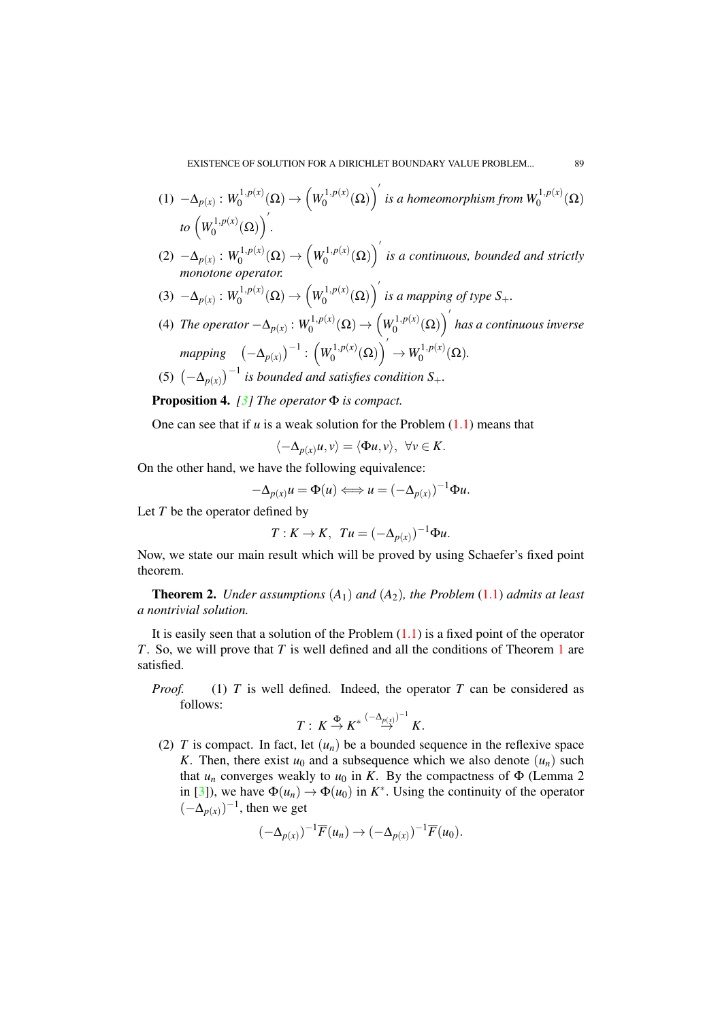- $(1) -\Delta_{p(x)}$ :  $W_0^{1,p(x)}$  $\bigvee_0^{1,p(x)}(\Omega)\to \left(W_0^{1,p(x)}\right)$  $\int_0^{1,p(x)}(\Omega)\right)'$  is a homeomorphism from  $W_0^{1,p(x)}(\Omega)$  $to \left(W_0^{1,p(x)}\right)$  $\bigl( \begin{smallmatrix} 1, p(x)\ 0 \end{smallmatrix} \bigr) \bigl( \Omega \bigr) \bigl)'.$
- $(2)$   $-\Delta_{p(x)}$  :  $W_0^{1,p(x)}$  $\bigvee_0^{1,p(x)}(\Omega)\to \left(W_0^{1,p(x)}\right)$  $\mathcal{L}_0^{1,p(x)}(\Omega)$ <sup>'</sup> is a continuous, bounded and strictly *monotone operator.*
- $(3)$   $-\Delta_{p(x)}$ :  $W_0^{1,p(x)}$  $\chi_0^{1,p(x)}(\Omega)\rightarrow \left(W_0^{1,p(x)}\right)$  $\int_0^{1,p(x)}(\Omega)\right)'$  is a mapping of type  $S_+$ .
- (4) *The operator*  $-\Delta_{p(x)}$ :  $W_0^{1,p(x)}$  $\stackrel{\bullet}{0}^{1,p(x)}(\Omega)\rightarrow \left(W^{1,p(x)}_0\right)$  $\mathcal{O}_0^{1,p(x)}(\Omega)\Big)^{'}$  has a continuous inverse *mapping*  $(-\Delta_{p(x)})^{-1}$ :  $\left(W_0^{1,p(x)}\right)$  $\left(\begin{smallmatrix} 1,p(x)\ 0 \end{smallmatrix}\right)^\prime \to W_0^{1,p(x)}$  $\binom{1}{0}^{(1)}(\Omega).$
- (5)  $(-\Delta_{p(x)})^{-1}$  is bounded and satisfies condition S<sub>+</sub>.

Proposition 4. *[\[3\]](#page-6-0) The operator* Φ *is compact.*

One can see that if *u* is a weak solution for the Problem [\(1.1\)](#page-0-0) means that

$$
\langle -\Delta_{p(x)}u, v \rangle = \langle \Phi u, v \rangle, \ \forall v \in K.
$$

On the other hand, we have the following equivalence:

$$
-\Delta_{p(x)}u = \Phi(u) \Longleftrightarrow u = (-\Delta_{p(x)})^{-1}\Phi u.
$$

Let *T* be the operator defined by

$$
T: K \to K, \ \ T u = (-\Delta_{p(x)})^{-1} \Phi u.
$$

Now, we state our main result which will be proved by using Schaefer's fixed point theorem.

<span id="page-4-0"></span>Theorem 2. *Under assumptions* (*A*1) *and* (*A*2)*, the Problem* [\(1.1\)](#page-0-0) *admits at least a nontrivial solution.*

It is easily seen that a solution of the Problem  $(1.1)$  is a fixed point of the operator *T*. So, we will prove that *T* is well defined and all the conditions of Theorem [1](#page-2-1) are satisfied.

*Proof.* (1) *T* is well defined. Indeed, the operator *T* can be considered as follows:

$$
T: K \stackrel{\Phi}{\to} K^* \stackrel{(-\Delta_{p(x)})^{-1}}{\to} K.
$$

(2)  $T$  is compact. In fact, let  $(u_n)$  be a bounded sequence in the reflexive space *K*. Then, there exist  $u_0$  and a subsequence which we also denote  $(u_n)$  such that  $u_n$  converges weakly to  $u_0$  in *K*. By the compactness of  $\Phi$  (Lemma 2 in [\[3\]](#page-6-0)), we have  $\Phi(u_n) \to \Phi(u_0)$  in  $K^*$ . Using the continuity of the operator  $(-\Delta_{p(x)})^{-1}$ , then we get

$$
(-\Delta_{p(x)})^{-1}\overline{F}(u_n) \to (-\Delta_{p(x)})^{-1}\overline{F}(u_0).
$$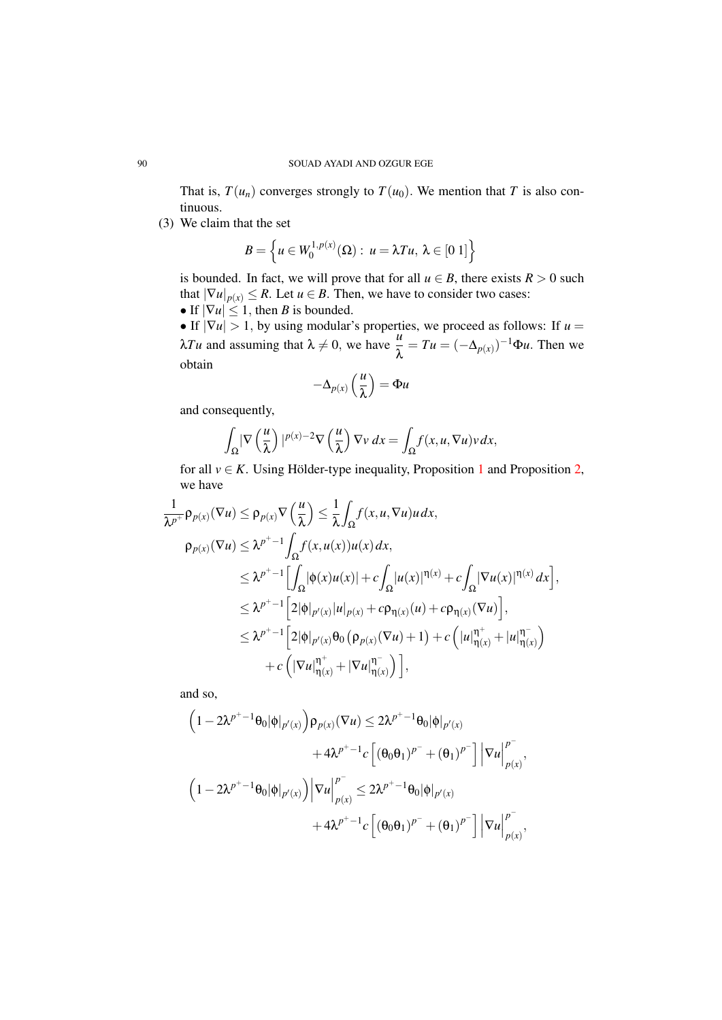That is,  $T(u_n)$  converges strongly to  $T(u_0)$ . We mention that *T* is also continuous.

(3) We claim that the set

$$
B=\left\{u\in W_0^{1,p(x)}(\Omega): u=\lambda Tu, \lambda\in [0\ 1]\right\}
$$

is bounded. In fact, we will prove that for all  $u \in B$ , there exists  $R > 0$  such that  $|\nabla u|_{p(x)} \leq R$ . Let  $u \in B$ . Then, we have to consider two cases:

• If  $|\nabla u| \leq 1$ , then *B* is bounded.

• If  $|\nabla u| > 1$ , by using modular's properties, we proceed as follows: If  $u =$  $λTu$  and assuming that  $λ ≠ 0$ , we have  $\frac{u}{λ} = Tu = (-Δ<sub>p(x)</sub>)^{-1}Φu$ . Then we obtain

$$
-\Delta_{p(x)}\left(\frac{u}{\lambda}\right)=\Phi u
$$

and consequently,

$$
\int_{\Omega} |\nabla \left(\frac{u}{\lambda}\right)|^{p(x)-2} \nabla \left(\frac{u}{\lambda}\right) \nabla v \, dx = \int_{\Omega} f(x, u, \nabla u) v \, dx,
$$

for all  $v \in K$ . Using Hölder-type inequality, Proposition [1](#page-1-1) and Proposition [2,](#page-2-2) we have

,

$$
\frac{1}{\lambda^{p^+}} \rho_{p(x)}(\nabla u) \leq \rho_{p(x)} \nabla \left(\frac{u}{\lambda}\right) \leq \frac{1}{\lambda} \int_{\Omega} f(x, u, \nabla u) u \, dx,
$$
\n
$$
\rho_{p(x)}(\nabla u) \leq \lambda^{p^+ - 1} \int_{\Omega} f(x, u(x)) u(x) \, dx,
$$
\n
$$
\leq \lambda^{p^+ - 1} \Big[ \int_{\Omega} |\phi(x)u(x)| + c \int_{\Omega} |u(x)|^{\eta(x)} + c \int_{\Omega} |\nabla u(x)|^{\eta(x)} \, dx \Big]
$$
\n
$$
\leq \lambda^{p^+ - 1} \Big[ 2|\phi|_{p'(x)} |u|_{p(x)} + c\rho_{\eta(x)}(u) + c\rho_{\eta(x)}(\nabla u) \Big],
$$
\n
$$
\leq \lambda^{p^+ - 1} \Big[ 2|\phi|_{p'(x)} \theta_0 \left(\rho_{p(x)}(\nabla u) + 1\right) + c \left( |u|_{\eta(x)}^{\eta^+} + |u|_{\eta(x)}^{\eta^-} \right) + c \left( |\nabla u|_{\eta(x)}^{\eta^+} + |\nabla u|_{\eta(x)}^{\eta^-} \right) \Big],
$$

and so,

$$
\begin{aligned}\n\left(1 - 2\lambda^{p^+ - 1}\theta_0|\phi|_{p'(x)}\right) & \rho_{p(x)}(\nabla u) \le 2\lambda^{p^+ - 1}\theta_0|\phi|_{p'(x)} \\
&\quad + 4\lambda^{p^+ - 1}c\left[(\theta_0\theta_1)^{p^-} + (\theta_1)^{p^-}\right] \left|\nabla u\right|_{p(x)}^{p^-}, \\
&\left(1 - 2\lambda^{p^+ - 1}\theta_0|\phi|_{p'(x)}\right) \left|\nabla u\right|_{p(x)}^{p^-} \le 2\lambda^{p^+ - 1}\theta_0|\phi|_{p'(x)} \\
&\quad + 4\lambda^{p^+ - 1}c\left[(\theta_0\theta_1)^{p^-} + (\theta_1)^{p^-}\right] \left|\nabla u\right|_{p(x)}^{p^-},\n\end{aligned}
$$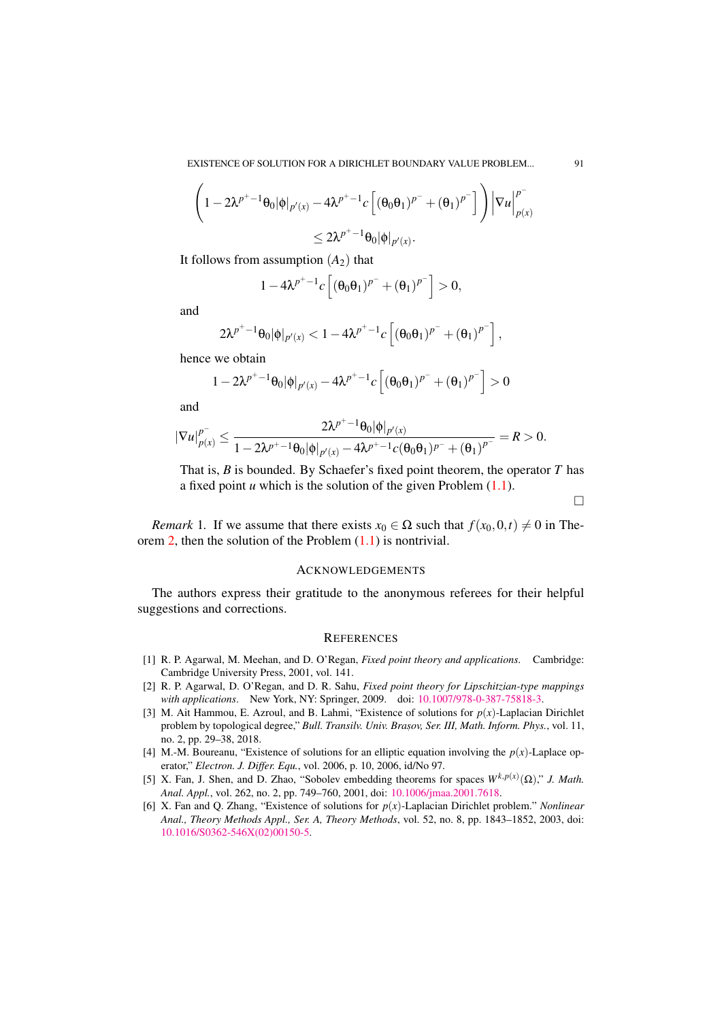$$
\left(1-2\lambda^{p^+-1}\theta_0|\phi|_{p'(x)} - 4\lambda^{p^+-1}c\left[(\theta_0\theta_1)^{p^-}+(\theta_1)^{p^-}\right]\right)|\nabla u|_{p(x)}^{p^-}
$$
  

$$
\leq 2\lambda^{p^+-1}\theta_0|\phi|_{p'(x)}.
$$

It follows from assumption  $(A_2)$  that

$$
1 - 4\lambda^{p^+ - 1} c \left[ \left( \theta_0 \theta_1 \right)^{p^-} + \left( \theta_1 \right)^{p^-} \right] > 0,
$$

and

$$
2\lambda^{p^+-1}\theta_0|\phi|_{p'(x)}<1-4\lambda^{p^+-1}c\left[\left(\theta_0\theta_1\right)^{p^-}+\left(\theta_1\right)^{p^-}\right],
$$

hence we obtain

$$
1 - 2\lambda^{p^+-1}\theta_0|\phi|_{p'(x)} - 4\lambda^{p^+-1}c\left[\left(\theta_0\theta_1\right)^{p^-} + \left(\theta_1\right)^{p^-}\right] > 0
$$

and

$$
|\nabla u|_{p(x)}^{p^-} \leq \frac{2\lambda^{p^+-1}\theta_0|\phi|_{p'(x)}}{1-2\lambda^{p^+-1}\theta_0|\phi|_{p'(x)}-4\lambda^{p^+-1}c(\theta_0\theta_1)^{p^-}+(\theta_1)^{p^-}} = R > 0.
$$

That is, *B* is bounded. By Schaefer's fixed point theorem, the operator *T* has a fixed point  $u$  which is the solution of the given Problem  $(1.1)$ .

$$
\Box
$$

*Remark* 1. If we assume that there exists  $x_0 \in \Omega$  such that  $f(x_0, 0, t) \neq 0$  in Theorem [2,](#page-4-0) then the solution of the Problem [\(1.1\)](#page-0-0) is nontrivial.

#### ACKNOWLEDGEMENTS

The authors express their gratitude to the anonymous referees for their helpful suggestions and corrections.

### **REFERENCES**

- <span id="page-6-4"></span>[1] R. P. Agarwal, M. Meehan, and D. O'Regan, *Fixed point theory and applications*. Cambridge: Cambridge University Press, 2001, vol. 141.
- <span id="page-6-5"></span>[2] R. P. Agarwal, D. O'Regan, and D. R. Sahu, *Fixed point theory for Lipschitzian-type mappings with applications*. New York, NY: Springer, 2009. doi: [10.1007/978-0-387-75818-3.](http://dx.doi.org/10.1007/978-0-387-75818-3)
- <span id="page-6-0"></span>[3] M. Ait Hammou, E. Azroul, and B. Lahmi, "Existence of solutions for *p*(*x*)-Laplacian Dirichlet problem by topological degree," Bull. Transilv. Univ. Brașov, Ser. III, Math. Inform. Phys., vol. 11, no. 2, pp. 29–38, 2018.
- <span id="page-6-1"></span>[4] M.-M. Boureanu, "Existence of solutions for an elliptic equation involving the  $p(x)$ -Laplace operator," *Electron. J. Differ. Equ.*, vol. 2006, p. 10, 2006, id/No 97.
- <span id="page-6-3"></span>[5] X. Fan, J. Shen, and D. Zhao, "Sobolev embedding theorems for spaces  $W^{k,p(x)}(\Omega)$ ," *J. Math. Anal. Appl.*, vol. 262, no. 2, pp. 749–760, 2001, doi: [10.1006/jmaa.2001.7618.](http://dx.doi.org/10.1006/jmaa.2001.7618)
- <span id="page-6-2"></span>[6] X. Fan and Q. Zhang, "Existence of solutions for *p*(*x*)-Laplacian Dirichlet problem." *Nonlinear Anal., Theory Methods Appl., Ser. A, Theory Methods*, vol. 52, no. 8, pp. 1843–1852, 2003, doi: [10.1016/S0362-546X\(02\)00150-5.](http://dx.doi.org/10.1016/S0362-546X(02)00150-5)